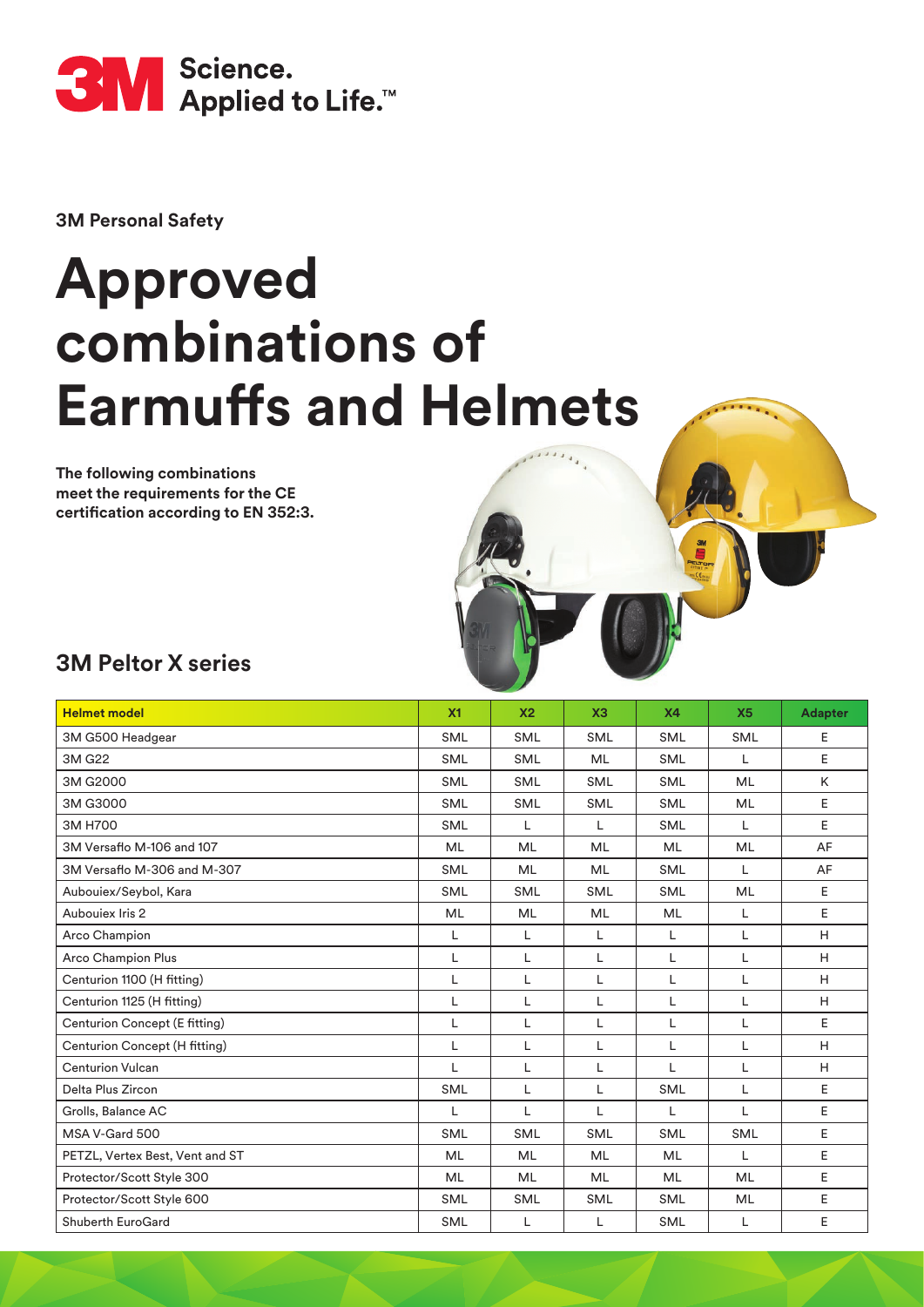

**3M Personal Safety**

## **Approved combinations of Earmuffs and Helmets**

**The following combinations meet the requirements for the CE**  certification according to EN 352:3.



| <b>Helmet model</b>             | X <sub>1</sub> | X <sub>2</sub> | X3         | <b>X4</b>  | X <sub>5</sub> | <b>Adapter</b> |
|---------------------------------|----------------|----------------|------------|------------|----------------|----------------|
| 3M G500 Headgear                | <b>SML</b>     | <b>SML</b>     | <b>SML</b> | <b>SML</b> | <b>SML</b>     | Ε              |
| 3M G22                          | <b>SML</b>     | <b>SML</b>     | ML         | <b>SML</b> | L              | E              |
| 3M G2000                        | <b>SML</b>     | <b>SML</b>     | <b>SML</b> | <b>SML</b> | <b>ML</b>      | K              |
| 3M G3000                        | <b>SML</b>     | <b>SML</b>     | <b>SML</b> | <b>SML</b> | <b>ML</b>      | E              |
| 3M H700                         | <b>SML</b>     | L              | L          | <b>SML</b> | L              | $\mathsf E$    |
| 3M Versaflo M-106 and 107       | ML             | <b>ML</b>      | ML         | <b>ML</b>  | <b>ML</b>      | AF             |
| 3M Versaflo M-306 and M-307     | <b>SML</b>     | <b>ML</b>      | ML         | <b>SML</b> | L              | AF             |
| Aubouiex/Seybol, Kara           | <b>SML</b>     | <b>SML</b>     | <b>SML</b> | <b>SML</b> | <b>ML</b>      | E              |
| Auboujex Iris 2                 | ML             | <b>ML</b>      | ML         | <b>ML</b>  | L              | E              |
| Arco Champion                   | L              | L              | L          | L          | L              | H              |
| <b>Arco Champion Plus</b>       | L              | L              | L          | L          | L              | H              |
| Centurion 1100 (H fitting)      | L              | L              | L          | L          | L              | H              |
| Centurion 1125 (H fitting)      | L              | L              | L          | L          | L              | H              |
| Centurion Concept (E fitting)   | L              | L              | L          | L          | L              | E              |
| Centurion Concept (H fitting)   | L              | L              | L          | L          | L              | H              |
| <b>Centurion Vulcan</b>         | L              | L              | L          | L          | L              | H              |
| Delta Plus Zircon               | <b>SML</b>     | L              | L          | <b>SML</b> | L              | E              |
| Grolls, Balance AC              | L              | L              | L          | L          | L              | E              |
| MSA V-Gard 500                  | <b>SML</b>     | <b>SML</b>     | <b>SML</b> | <b>SML</b> | <b>SML</b>     | E              |
| PETZL, Vertex Best, Vent and ST | <b>ML</b>      | ML             | <b>ML</b>  | <b>ML</b>  | L              | E              |
| Protector/Scott Style 300       | ML             | ML             | ML         | <b>ML</b>  | ML             | E              |
| Protector/Scott Style 600       | <b>SML</b>     | SML            | <b>SML</b> | <b>SML</b> | ML             | E              |
| Shuberth EuroGard               | <b>SML</b>     | L              | L          | <b>SML</b> | L              | E              |

 $\overline{f}$  is a  $\overline{f}$